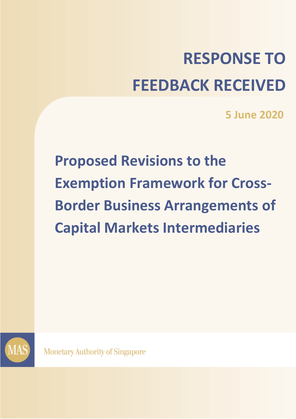# **RESPONSE TO FEEDBACK RECEIVED**

**5 June 2020**

**Proposed Revisions to the Exemption Framework for Cross-Border Business Arrangements of Capital Markets Intermediaries**



**Monetary Authority of Singapore**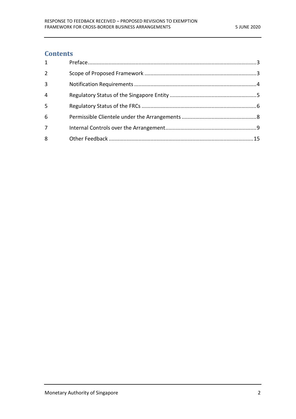# **Contents**

| $\mathbf{1}$   |  |
|----------------|--|
| $\overline{2}$ |  |
| $\overline{3}$ |  |
| $\overline{4}$ |  |
| 5              |  |
| 6              |  |
| 7              |  |
| 8              |  |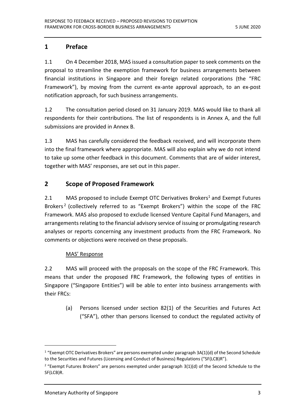# <span id="page-2-0"></span>**1 Preface**

1.1 On 4 December 2018, MAS issued a consultation paper to seek comments on the proposal to streamline the exemption framework for business arrangements between financial institutions in Singapore and their foreign related corporations (the "FRC Framework"), by moving from the current ex-ante approval approach, to an ex-post notification approach, for such business arrangements.

1.2 The consultation period closed on 31 January 2019. MAS would like to thank all respondents for their contributions. The list of respondents is in Annex A, and the full submissions are provided in Annex B.

1.3 MAS has carefully considered the feedback received, and will incorporate them into the final framework where appropriate. MAS will also explain why we do not intend to take up some other feedback in this document. Comments that are of wider interest, together with MAS' responses, are set out in this paper.

# <span id="page-2-1"></span>**2 Scope of Proposed Framework**

2.1 MAS proposed to include Exempt OTC Derivatives Brokers<sup>1</sup> and Exempt Futures Brokers<sup>2</sup> (collectively referred to as "Exempt Brokers") within the scope of the FRC Framework. MAS also proposed to exclude licensed Venture Capital Fund Managers, and arrangements relating to the financial advisory service of issuing or promulgating research analyses or reports concerning any investment products from the FRC Framework. No comments or objections were received on these proposals.

#### MAS' Response

2.2 MAS will proceed with the proposals on the scope of the FRC Framework. This means that under the proposed FRC Framework, the following types of entities in Singapore ("Singapore Entities") will be able to enter into business arrangements with their FRCs:

(a) Persons licensed under section 82(1) of the Securities and Futures Act ("SFA"), other than persons licensed to conduct the regulated activity of

 $\overline{a}$ 

 $1$  "Exempt OTC Derivatives Brokers" are persons exempted under paragraph 3A(1)(d) of the Second Schedule to the Securities and Futures (Licensing and Conduct of Business) Regulations ("SF(LCB)R").

 $2$  "Exempt Futures Brokers" are persons exempted under paragraph  $3(1)(d)$  of the Second Schedule to the SF(LCB)R.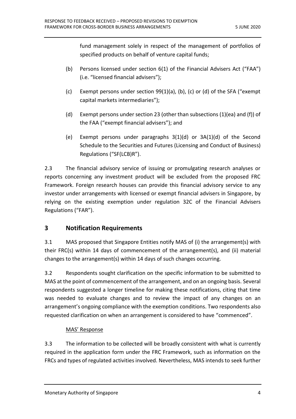fund management solely in respect of the management of portfolios of specified products on behalf of venture capital funds;

- (b) Persons licensed under section 6(1) of the Financial Advisers Act ("FAA") (i.e. "licensed financial advisers");
- (c) Exempt persons under section 99(1)(a), (b), (c) or (d) of the SFA ("exempt capital markets intermediaries");
- (d) Exempt persons under section 23 (other than subsections (1)(ea) and (f)) of the FAA ("exempt financial advisers"); and
- (e) Exempt persons under paragraphs 3(1)(d) or 3A(1)(d) of the Second Schedule to the Securities and Futures (Licensing and Conduct of Business) Regulations ("SF(LCB)R").

2.3 The financial advisory service of issuing or promulgating research analyses or reports concerning any investment product will be excluded from the proposed FRC Framework. Foreign research houses can provide this financial advisory service to any investor under arrangements with licensed or exempt financial advisers in Singapore, by relying on the existing exemption under regulation 32C of the Financial Advisers Regulations ("FAR").

# <span id="page-3-0"></span>**3 Notification Requirements**

3.1 MAS proposed that Singapore Entities notify MAS of (i) the arrangement(s) with their FRC(s) within 14 days of commencement of the arrangement(s), and (ii) material changes to the arrangement(s) within 14 days of such changes occurring.

3.2 Respondents sought clarification on the specific information to be submitted to MAS at the point of commencement of the arrangement, and on an ongoing basis. Several respondents suggested a longer timeline for making these notifications, citing that time was needed to evaluate changes and to review the impact of any changes on an arrangement's ongoing compliance with the exemption conditions. Two respondents also requested clarification on when an arrangement is considered to have "commenced".

# MAS' Response

3.3 The information to be collected will be broadly consistent with what is currently required in the application form under the FRC Framework, such as information on the FRCs and types of regulated activities involved. Nevertheless, MAS intends to seek further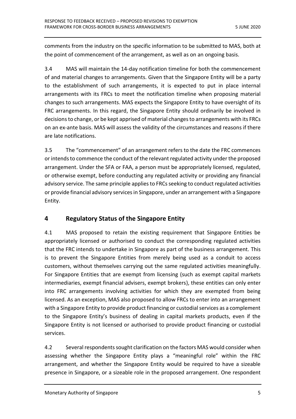comments from the industry on the specific information to be submitted to MAS, both at the point of commencement of the arrangement, as well as on an ongoing basis.

3.4 MAS will maintain the 14-day notification timeline for both the commencement of and material changes to arrangements. Given that the Singapore Entity will be a party to the establishment of such arrangements, it is expected to put in place internal arrangements with its FRCs to meet the notification timeline when proposing material changes to such arrangements. MAS expects the Singapore Entity to have oversight of its FRC arrangements. In this regard, the Singapore Entity should ordinarily be involved in decisions to change, or be kept apprised of material changes to arrangements with its FRCs on an ex-ante basis. MAS will assess the validity of the circumstances and reasons if there are late notifications.

3.5 The "commencement" of an arrangement refers to the date the FRC commences or intends to commence the conduct of the relevant regulated activity under the proposed arrangement. Under the SFA or FAA, a person must be appropriately licensed, regulated, or otherwise exempt, before conducting any regulated activity or providing any financial advisory service. The same principle applies to FRCs seeking to conduct regulated activities or provide financial advisory services in Singapore, under an arrangement with a Singapore Entity.

# <span id="page-4-0"></span>**4 Regulatory Status of the Singapore Entity**

4.1 MAS proposed to retain the existing requirement that Singapore Entities be appropriately licensed or authorised to conduct the corresponding regulated activities that the FRC intends to undertake in Singapore as part of the business arrangement. This is to prevent the Singapore Entities from merely being used as a conduit to access customers, without themselves carrying out the same regulated activities meaningfully. For Singapore Entities that are exempt from licensing (such as exempt capital markets intermediaries, exempt financial advisers, exempt brokers), these entities can only enter into FRC arrangements involving activities for which they are exempted from being licensed. As an exception, MAS also proposed to allow FRCs to enter into an arrangement with a Singapore Entity to provide product financing or custodial services as a complement to the Singapore Entity's business of dealing in capital markets products, even if the Singapore Entity is not licensed or authorised to provide product financing or custodial services.

4.2 Several respondents sought clarification on the factors MAS would consider when assessing whether the Singapore Entity plays a "meaningful role" within the FRC arrangement, and whether the Singapore Entity would be required to have a sizeable presence in Singapore, or a sizeable role in the proposed arrangement. One respondent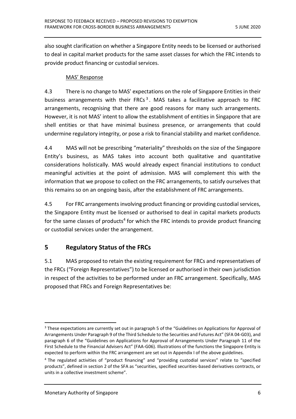also sought clarification on whether a Singapore Entity needs to be licensed or authorised to deal in capital market products for the same asset classes for which the FRC intends to provide product financing or custodial services.

#### MAS' Response

4.3 There is no change to MAS' expectations on the role of Singapore Entities in their business arrangements with their FRCs<sup>3</sup>. MAS takes a facilitative approach to FRC arrangements, recognising that there are good reasons for many such arrangements. However, it is not MAS' intent to allow the establishment of entities in Singapore that are shell entities or that have minimal business presence, or arrangements that could undermine regulatory integrity, or pose a risk to financial stability and market confidence.

4.4 MAS will not be prescribing "materiality" thresholds on the size of the Singapore Entity's business, as MAS takes into account both qualitative and quantitative considerations holistically. MAS would already expect financial institutions to conduct meaningful activities at the point of admission. MAS will complement this with the information that we propose to collect on the FRC arrangements, to satisfy ourselves that this remains so on an ongoing basis, after the establishment of FRC arrangements.

4.5 For FRC arrangements involving product financing or providing custodial services, the Singapore Entity must be licensed or authorised to deal in capital markets products for the same classes of products<sup>4</sup> for which the FRC intends to provide product financing or custodial services under the arrangement.

# <span id="page-5-0"></span>**5 Regulatory Status of the FRCs**

5.1 MAS proposed to retain the existing requirement for FRCs and representatives of the FRCs ("Foreign Representatives") to be licensed or authorised in their own jurisdiction in respect of the activities to be performed under an FRC arrangement. Specifically, MAS proposed that FRCs and Foreign Representatives be:

 $\overline{a}$ <sup>3</sup> These expectations are currently set out in paragraph 5 of the "Guidelines on Applications for Approval of Arrangements Under Paragraph 9 of the Third Schedule to the Securities and Futures Act" (SFA 04-G03), and paragraph 6 of the "Guidelines on Applications for Approval of Arrangements Under Paragraph 11 of the First Schedule to the Financial Advisers Act" (FAA-G06). Illustrations of the functions the Singapore Entity is expected to perform within the FRC arrangement are set out in Appendix I of the above guidelines.

<sup>4</sup> The regulated activities of "product financing" and "providing custodial services" relate to "specified products", defined in section 2 of the SFA as "securities, specified securities-based derivatives contracts, or units in a collective investment scheme".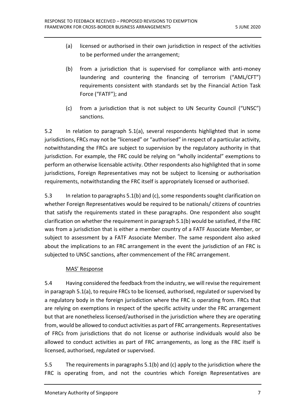- (a) licensed or authorised in their own jurisdiction in respect of the activities to be performed under the arrangement;
- (b) from a jurisdiction that is supervised for compliance with anti-money laundering and countering the financing of terrorism ("AML/CFT") requirements consistent with standards set by the Financial Action Task Force ("FATF"); and
- (c) from a jurisdiction that is not subject to UN Security Council ("UNSC") sanctions.

5.2 In relation to paragraph 5.1(a), several respondents highlighted that in some jurisdictions, FRCs may not be "licensed" or "authorised" in respect of a particular activity, notwithstanding the FRCs are subject to supervision by the regulatory authority in that jurisdiction. For example, the FRC could be relying on "wholly incidental" exemptions to perform an otherwise licensable activity. Other respondents also highlighted that in some jurisdictions, Foreign Representatives may not be subject to licensing or authorisation requirements, notwithstanding the FRC itself is appropriately licensed or authorised.

5.3 In relation to paragraphs 5.1(b) and (c), some respondents sought clarification on whether Foreign Representatives would be required to be nationals/ citizens of countries that satisfy the requirements stated in these paragraphs. One respondent also sought clarification on whether the requirement in paragraph 5.1(b) would be satisfied, if the FRC was from a jurisdiction that is either a member country of a FATF Associate Member, or subject to assessment by a FATF Associate Member. The same respondent also asked about the implications to an FRC arrangement in the event the jurisdiction of an FRC is subjected to UNSC sanctions, after commencement of the FRC arrangement.

#### MAS' Response

5.4 Having considered the feedback from the industry, we will revise the requirement in paragraph 5.1(a), to require FRCs to be licensed, authorised, regulated or supervised by a regulatory body in the foreign jurisdiction where the FRC is operating from. FRCs that are relying on exemptions in respect of the specific activity under the FRC arrangement but that are nonetheless licensed/authorised in the jurisdiction where they are operating from, would be allowed to conduct activities as part of FRC arrangements. Representatives of FRCs from jurisdictions that do not license or authorise individuals would also be allowed to conduct activities as part of FRC arrangements, as long as the FRC itself is licensed, authorised, regulated or supervised.

5.5 The requirements in paragraphs 5.1(b) and (c) apply to the jurisdiction where the FRC is operating from, and not the countries which Foreign Representatives are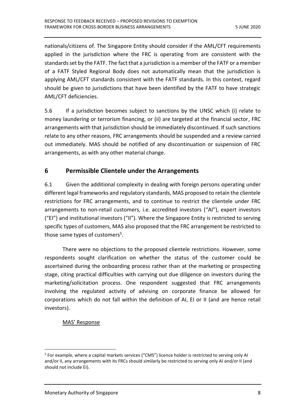nationals/citizens of. The Singapore Entity should consider if the AML/CFT requirements applied in the jurisdiction where the FRC is operating from are consistent with the standards set by the FATF. The fact that a jurisdiction is a member of the FATF or a member of a FATF Styled Regional Body does not automatically mean that the jurisdiction is applying AML/CFT standards consistent with the FATF standards. In this context, regard should be given to jurisdictions that have been identified by the FATF to have strategic AML/CFT deficiencies.

5.6 If a jurisdiction becomes subject to sanctions by the UNSC which (i) relate to money laundering or terrorism financing, or (ii) are targeted at the financial sector, FRC arrangements with that jurisdiction should be immediately discontinued. If such sanctions relate to any other reasons, FRC arrangements should be suspended and a review carried out immediately. MAS should be notified of any discontinuation or suspension of FRC arrangements, as with any other material change.

# <span id="page-7-0"></span>**6 Permissible Clientele under the Arrangements**

6.1 Given the additional complexity in dealing with foreign persons operating under different legal frameworks and regulatory standards, MAS proposed to retain the clientele restrictions for FRC arrangements, and to continue to restrict the clientele under FRC arrangements to non-retail customers, i.e. accredited investors ("AI"), expert investors ("EI") and institutional investors ("II"). Where the Singapore Entity is restricted to serving specific types of customers, MAS also proposed that the FRC arrangement be restricted to those same types of customers<sup>5</sup>.

There were no objections to the proposed clientele restrictions. However, some respondents sought clarification on whether the status of the customer could be ascertained during the onboarding process rather than at the marketing or prospecting stage, citing practical difficulties with carrying out due diligence on investors during the marketing/solicitation process. One respondent suggested that FRC arrangements involving the regulated activity of advising on corporate finance be allowed for corporations which do not fall within the definition of AI, EI or II (and are hence retail investors).

# MAS' Response

 $\overline{a}$ <sup>5</sup> For example, where a capital markets services ("CMS") licence holder is restricted to serving only AI and/or II, any arrangements with its FRCs should similarly be restricted to serving only AI and/or II (and should not include EI).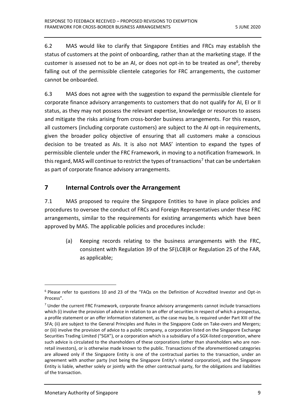6.2 MAS would like to clarify that Singapore Entities and FRCs may establish the status of customers at the point of onboarding, rather than at the marketing stage. If the customer is assessed not to be an AI, or does not opt-in to be treated as one<sup>6</sup>, thereby falling out of the permissible clientele categories for FRC arrangements, the customer cannot be onboarded.

6.3 MAS does not agree with the suggestion to expand the permissible clientele for corporate finance advisory arrangements to customers that do not qualify for AI, EI or II status, as they may not possess the relevant expertise, knowledge or resources to assess and mitigate the risks arising from cross-border business arrangements. For this reason, all customers (including corporate customers) are subject to the AI opt-in requirements, given the broader policy objective of ensuring that all customers make a conscious decision to be treated as AIs. It is also not MAS' intention to expand the types of permissible clientele under the FRC Framework, in moving to a notification framework. In this regard, MAS will continue to restrict the types of transactions<sup>7</sup> that can be undertaken as part of corporate finance advisory arrangements.

# <span id="page-8-0"></span>**7 Internal Controls over the Arrangement**

7.1 MAS proposed to require the Singapore Entities to have in place policies and procedures to oversee the conduct of FRCs and Foreign Representatives under these FRC arrangements, similar to the requirements for existing arrangements which have been approved by MAS. The applicable policies and procedures include:

(a) Keeping records relating to the business arrangements with the FRC, consistent with Regulation 39 of the SF(LCB)R or Regulation 25 of the FAR, as applicable;

1

<sup>6</sup> Please refer to questions 10 and 23 of the "FAQs on the Definition of Accredited Investor and Opt-in Process".

 $<sup>7</sup>$  Under the current FRC Framework, corporate finance advisory arrangements cannot include transactions</sup> which (i) involve the provision of advice in relation to an offer of securities in respect of which a prospectus, a profile statement or an offer information statement, as the case may be, is required under Part XIII of the SFA; (ii) are subject to the General Principles and Rules in the Singapore Code on Take-overs and Mergers; or (iii) involve the provision of advice to a public company, a corporation listed on the Singapore Exchange Securities Trading Limited ("SGX"), or a corporation which is a subsidiary of a SGX-listed corporation, where such advice is circulated to the shareholders of these corporations (other than shareholders who are nonretail investors), or is otherwise made known to the public. Transactions of the aforementioned categories are allowed only if the Singapore Entity is one of the contractual parties to the transaction, under an agreement with another party (not being the Singapore Entity's related corporation), and the Singapore Entity is liable, whether solely or jointly with the other contractual party, for the obligations and liabilities of the transaction.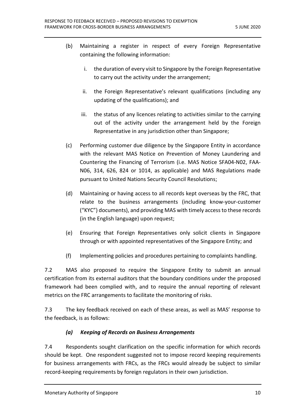- (b) Maintaining a register in respect of every Foreign Representative containing the following information:
	- i. the duration of every visit to Singapore by the Foreign Representative to carry out the activity under the arrangement;
	- ii. the Foreign Representative's relevant qualifications (including any updating of the qualifications); and
	- iii. the status of any licences relating to activities similar to the carrying out of the activity under the arrangement held by the Foreign Representative in any jurisdiction other than Singapore;
- (c) Performing customer due diligence by the Singapore Entity in accordance with the relevant MAS Notice on Prevention of Money Laundering and Countering the Financing of Terrorism (i.e. MAS Notice SFA04-N02, FAA-N06, 314, 626, 824 or 1014, as applicable) and MAS Regulations made pursuant to United Nations Security Council Resolutions;
- (d) Maintaining or having access to all records kept overseas by the FRC, that relate to the business arrangements (including know-your-customer ("KYC") documents), and providing MAS with timely access to these records (in the English language) upon request;
- (e) Ensuring that Foreign Representatives only solicit clients in Singapore through or with appointed representatives of the Singapore Entity; and
- (f) Implementing policies and procedures pertaining to complaints handling.

7.2 MAS also proposed to require the Singapore Entity to submit an annual certification from its external auditors that the boundary conditions under the proposed framework had been complied with, and to require the annual reporting of relevant metrics on the FRC arrangements to facilitate the monitoring of risks.

7.3 The key feedback received on each of these areas, as well as MAS' response to the feedback, is as follows:

# *(a) Keeping of Records on Business Arrangements*

7.4 Respondents sought clarification on the specific information for which records should be kept. One respondent suggested not to impose record keeping requirements for business arrangements with FRCs, as the FRCs would already be subject to similar record-keeping requirements by foreign regulators in their own jurisdiction.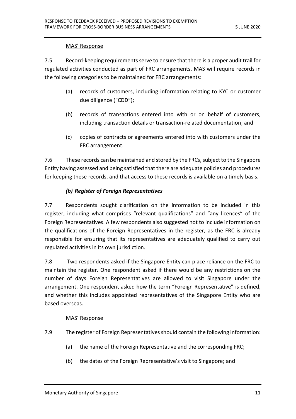#### MAS' Response

7.5 Record-keeping requirements serve to ensure that there is a proper audit trail for regulated activities conducted as part of FRC arrangements. MAS will require records in the following categories to be maintained for FRC arrangements:

- (a) records of customers, including information relating to KYC or customer due diligence ("CDD");
- (b) records of transactions entered into with or on behalf of customers, including transaction details or transaction-related documentation; and
- (c) copies of contracts or agreements entered into with customers under the FRC arrangement.

7.6 These records can be maintained and stored by the FRCs, subject to the Singapore Entity having assessed and being satisfied that there are adequate policies and procedures for keeping these records, and that access to these records is available on a timely basis.

#### *(b) Register of Foreign Representatives*

7.7 Respondents sought clarification on the information to be included in this register, including what comprises "relevant qualifications" and "any licences" of the Foreign Representatives. A few respondents also suggested not to include information on the qualifications of the Foreign Representatives in the register, as the FRC is already responsible for ensuring that its representatives are adequately qualified to carry out regulated activities in its own jurisdiction.

7.8 Two respondents asked if the Singapore Entity can place reliance on the FRC to maintain the register. One respondent asked if there would be any restrictions on the number of days Foreign Representatives are allowed to visit Singapore under the arrangement. One respondent asked how the term "Foreign Representative" is defined, and whether this includes appointed representatives of the Singapore Entity who are based overseas.

#### MAS' Response

7.9 The register of Foreign Representatives should contain the following information:

- (a) the name of the Foreign Representative and the corresponding FRC;
- (b) the dates of the Foreign Representative's visit to Singapore; and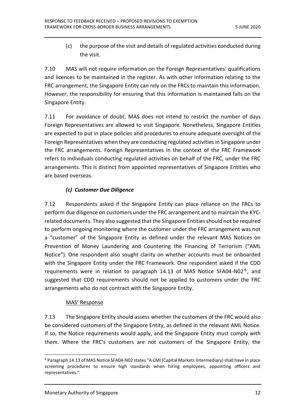(c) the purpose of the visit and details of regulated activities conducted during the visit.

7.10 MAS will not require information on the Foreign Representatives' qualifications and licences to be maintained in the register. As with other information relating to the FRC arrangement, the Singapore Entity can rely on the FRCs to maintain this information. However, the responsibility for ensuring that this information is maintained falls on the Singapore Entity.

7.11 For avoidance of doubt, MAS does not intend to restrict the number of days Foreign Representatives are allowed to visit Singapore. Nonetheless, Singapore Entities are expected to put in place policies and procedures to ensure adequate oversight of the Foreign Representatives when they are conducting regulated activities in Singapore under the FRC arrangements. Foreign Representatives in the context of the FRC Framework refers to individuals conducting regulated activities on behalf of the FRC, under the FRC arrangements. This is distinct from appointed representatives of Singapore Entities who are based overseas.

#### *(c) Customer Due Diligence*

7.12 Respondents asked if the Singapore Entity can place reliance on the FRCs to perform due diligence on customers under the FRC arrangement and to maintain the KYCrelated documents. They also suggested that the Singapore Entities should not be required to perform ongoing monitoring where the customer under the FRC arrangement was not a "customer" of the Singapore Entity as defined under the relevant MAS Notices on Prevention of Money Laundering and Countering the Financing of Terrorism ("AML Notice"). One respondent also sought clarity on whether accounts must be onboarded with the Singapore Entity under the FRC Framework. One respondent asked if the CDD requirements were in relation to paragraph 14.13 of MAS Notice SFA04-N02 $^8$ , and suggested that CDD requirements should not be applied to customers under the FRC arrangements who do not contract with the Singapore Entity.

#### MAS' Response

7.13 The Singapore Entity should assess whether the customers of the FRC would also be considered customers of the Singapore Entity, as defined in the relevant AML Notice. If so, the Notice requirements would apply, and the Singapore Entity must comply with them. Where the FRC's customers are not customers of the Singapore Entity, the

 $\overline{a}$ <sup>8</sup> Paragraph 14.13 of MAS Notice SFA04-N02 states "A CMI (Capital Markets Intermediary) shall have in place screening procedures to ensure high standards when hiring employees, appointing officers and representatives."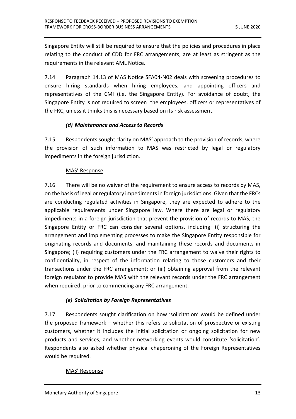Singapore Entity will still be required to ensure that the policies and procedures in place relating to the conduct of CDD for FRC arrangements, are at least as stringent as the requirements in the relevant AML Notice.

7.14 Paragraph 14.13 of MAS Notice SFA04-N02 deals with screening procedures to ensure hiring standards when hiring employees, and appointing officers and representatives of the CMI (i.e. the Singapore Entity). For avoidance of doubt, the Singapore Entity is not required to screen the employees, officers or representatives of the FRC, unless it thinks this is necessary based on its risk assessment.

#### *(d) Maintenance and Access to Records*

7.15 Respondents sought clarity on MAS' approach to the provision of records, where the provision of such information to MAS was restricted by legal or regulatory impediments in the foreign jurisdiction.

#### MAS' Response

7.16 There will be no waiver of the requirement to ensure access to records by MAS, on the basis of legal or regulatory impediments in foreign jurisdictions. Given that the FRCs are conducting regulated activities in Singapore, they are expected to adhere to the applicable requirements under Singapore law. Where there are legal or regulatory impediments in a foreign jurisdiction that prevent the provision of records to MAS, the Singapore Entity or FRC can consider several options, including: (i) structuring the arrangement and implementing processes to make the Singapore Entity responsible for originating records and documents, and maintaining these records and documents in Singapore; (ii) requiring customers under the FRC arrangement to waive their rights to confidentiality, in respect of the information relating to those customers and their transactions under the FRC arrangement; or (iii) obtaining approval from the relevant foreign regulator to provide MAS with the relevant records under the FRC arrangement when required, prior to commencing any FRC arrangement.

# *(e) Solicitation by Foreign Representatives*

7.17 Respondents sought clarification on how 'solicitation' would be defined under the proposed framework – whether this refers to solicitation of prospective or existing customers, whether it includes the initial solicitation or ongoing solicitation for new products and services, and whether networking events would constitute 'solicitation'. Respondents also asked whether physical chaperoning of the Foreign Representatives would be required.

#### MAS' Response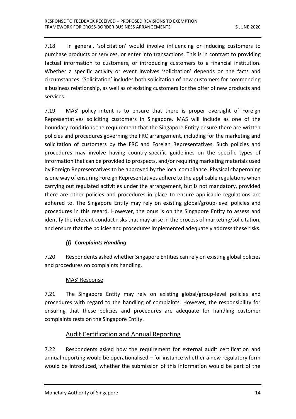7.18 In general, 'solicitation' would involve influencing or inducing customers to purchase products or services, or enter into transactions. This is in contrast to providing factual information to customers, or introducing customers to a financial institution. Whether a specific activity or event involves 'solicitation' depends on the facts and circumstances. 'Solicitation' includes both solicitation of new customers for commencing a business relationship, as well as of existing customers for the offer of new products and services.

7.19 MAS' policy intent is to ensure that there is proper oversight of Foreign Representatives soliciting customers in Singapore. MAS will include as one of the boundary conditions the requirement that the Singapore Entity ensure there are written policies and procedures governing the FRC arrangement, including for the marketing and solicitation of customers by the FRC and Foreign Representatives. Such policies and procedures may involve having country-specific guidelines on the specific types of information that can be provided to prospects, and/or requiring marketing materials used by Foreign Representatives to be approved by the local compliance. Physical chaperoning is one way of ensuring Foreign Representatives adhere to the applicable regulations when carrying out regulated activities under the arrangement, but is not mandatory, provided there are other policies and procedures in place to ensure applicable regulations are adhered to. The Singapore Entity may rely on existing global/group-level policies and procedures in this regard. However, the onus is on the Singapore Entity to assess and identify the relevant conduct risks that may arise in the process of marketing/solicitation, and ensure that the policies and procedures implemented adequately address these risks.

# *(f) Complaints Handling*

7.20 Respondents asked whether Singapore Entities can rely on existing global policies and procedures on complaints handling.

# MAS' Response

7.21 The Singapore Entity may rely on existing global/group-level policies and procedures with regard to the handling of complaints. However, the responsibility for ensuring that these policies and procedures are adequate for handling customer complaints rests on the Singapore Entity.

# Audit Certification and Annual Reporting

7.22 Respondents asked how the requirement for external audit certification and annual reporting would be operationalised – for instance whether a new regulatory form would be introduced, whether the submission of this information would be part of the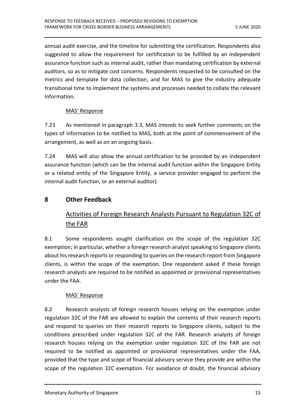annual audit exercise, and the timeline for submitting the certification. Respondents also suggested to allow the requirement for certification to be fulfilled by an independent assurance function such as internal audit, rather than mandating certification by external auditors, so as to mitigate cost concerns. Respondents requested to be consulted on the metrics and template for data collection, and for MAS to give the industry adequate transitional time to implement the systems and processes needed to collate the relevant information.

#### MAS' Response

7.23 As mentioned in paragraph 3.3, MAS intends to seek further comments on the types of information to be notified to MAS, both at the point of commencement of the arrangement, as well as on an ongoing basis.

7.24 MAS will also allow the annual certification to be provided by an independent assurance function (which can be the internal audit function within the Singapore Entity or a related entity of the Singapore Entity, a service provider engaged to perform the internal audit function, or an external auditor).

# <span id="page-14-0"></span>**8 Other Feedback**

# Activities of Foreign Research Analysts Pursuant to Regulation 32C of the FAR

8.1 Some respondents sought clarification on the scope of the regulation 32C exemption; in particular, whether a foreign research analyst speaking to Singapore clients about his research reports or responding to queries on the research report from Singapore clients, is within the scope of the exemption. One respondent asked if these foreign research analysts are required to be notified as appointed or provisional representatives under the FAA.

#### MAS' Response

8.2 Research analysts of foreign research houses relying on the exemption under regulation 32C of the FAR are allowed to explain the contents of their research reports and respond to queries on their research reports to Singapore clients, subject to the conditions prescribed under regulation 32C of the FAR. Research analysts of foreign research houses relying on the exemption under regulation 32C of the FAR are not required to be notified as appointed or provisional representatives under the FAA, provided that the type and scope of financial advisory service they provide are within the scope of the regulation 32C exemption. For avoidance of doubt, the financial advisory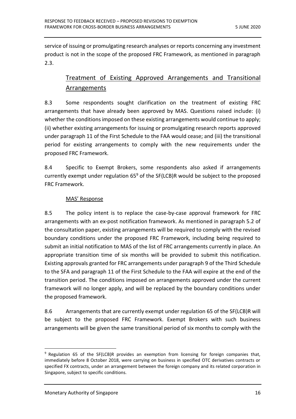service of issuing or promulgating research analyses or reports concerning any investment product is not in the scope of the proposed FRC Framework, as mentioned in paragraph 2.3.

# Treatment of Existing Approved Arrangements and Transitional Arrangements

8.3 Some respondents sought clarification on the treatment of existing FRC arrangements that have already been approved by MAS. Questions raised include: (i) whether the conditions imposed on these existing arrangements would continue to apply; (ii) whether existing arrangements for issuing or promulgating research reports approved under paragraph 11 of the First Schedule to the FAA would cease; and (iii) the transitional period for existing arrangements to comply with the new requirements under the proposed FRC Framework.

8.4 Specific to Exempt Brokers, some respondents also asked if arrangements currently exempt under regulation  $65^9$  of the SF(LCB)R would be subject to the proposed FRC Framework.

#### MAS' Response

8.5 The policy intent is to replace the case-by-case approval framework for FRC arrangements with an ex-post notification framework. As mentioned in paragraph 5.2 of the consultation paper, existing arrangements will be required to comply with the revised boundary conditions under the proposed FRC Framework, including being required to submit an initial notification to MAS of the list of FRC arrangements currently in place. An appropriate transition time of six months will be provided to submit this notification. Existing approvals granted for FRC arrangements under paragraph 9 of the Third Schedule to the SFA and paragraph 11 of the First Schedule to the FAA will expire at the end of the transition period. The conditions imposed on arrangements approved under the current framework will no longer apply, and will be replaced by the boundary conditions under the proposed framework.

8.6 Arrangements that are currently exempt under regulation 65 of the SF(LCB)R will be subject to the proposed FRC Framework. Exempt Brokers with such business arrangements will be given the same transitional period of six months to comply with the

 $\overline{a}$ 

<sup>&</sup>lt;sup>9</sup> Regulation 65 of the SF(LCB)R provides an exemption from licensing for foreign companies that, immediately before 8 October 2018, were carrying on business in specified OTC derivatives contracts or specified FX contracts, under an arrangement between the foreign company and its related corporation in Singapore, subject to specific conditions.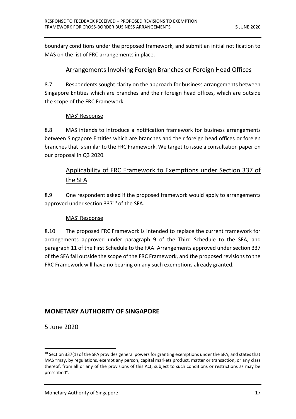boundary conditions under the proposed framework, and submit an initial notification to MAS on the list of FRC arrangements in place.

#### Arrangements Involving Foreign Branches or Foreign Head Offices

8.7 Respondents sought clarity on the approach for business arrangements between Singapore Entities which are branches and their foreign head offices, which are outside the scope of the FRC Framework.

#### MAS' Response

8.8 MAS intends to introduce a notification framework for business arrangements between Singapore Entities which are branches and their foreign head offices or foreign branches that is similar to the FRC Framework. We target to issue a consultation paper on our proposal in Q3 2020.

# Applicability of FRC Framework to Exemptions under Section 337 of the SFA

8.9 One respondent asked if the proposed framework would apply to arrangements approved under section 337<sup>10</sup> of the SFA.

#### MAS' Response

8.10 The proposed FRC Framework is intended to replace the current framework for arrangements approved under paragraph 9 of the Third Schedule to the SFA, and paragraph 11 of the First Schedule to the FAA. Arrangements approved under section 337 of the SFA fall outside the scope of the FRC Framework, and the proposed revisions to the FRC Framework will have no bearing on any such exemptions already granted.

# **MONETARY AUTHORITY OF SINGAPORE**

5 June 2020

 $\overline{a}$ 

<sup>&</sup>lt;sup>10</sup> Section 337(1) of the SFA provides general powers for granting exemptions under the SFA, and states that MAS "may, by regulations, exempt any person, capital markets product, matter or transaction, or any class thereof, from all or any of the provisions of this Act, subject to such conditions or restrictions as may be prescribed".